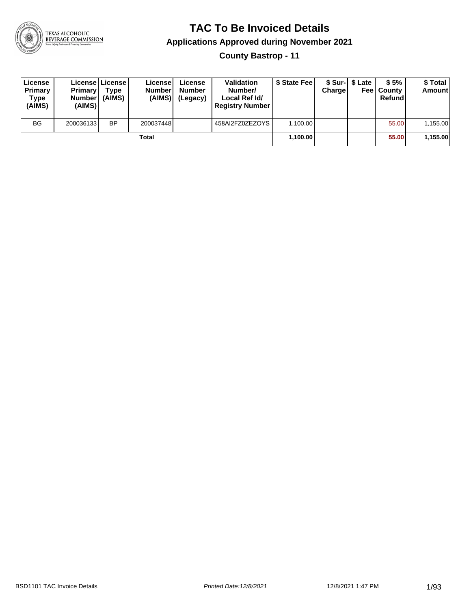

### **TAC To Be Invoiced Details**

#### **Applications Approved during November 2021**

**County Bastrop - 11**

| License<br>Primary<br>Type<br>(AIMS) | <b>Primary</b><br><b>Number</b><br>(AIMS) | Licensel License I<br>Type<br>(AIMS) | Licensel<br><b>Number</b><br>(AIMS) | License<br><b>Number</b><br>(Legacy) | <b>Validation</b><br>Number/<br>Local Ref Id/<br><b>Registry Number</b> | \$ State Feel | Charge | \$ Sur-1 \$ Late | \$5%<br><b>Feel County</b><br>Refund | \$ Total<br><b>Amount</b> |
|--------------------------------------|-------------------------------------------|--------------------------------------|-------------------------------------|--------------------------------------|-------------------------------------------------------------------------|---------------|--------|------------------|--------------------------------------|---------------------------|
| <b>BG</b>                            | 200036133                                 | <b>BP</b>                            | 200037448                           |                                      | 458AI2FZ0ZEZOYS                                                         | 1,100.00      |        |                  | 55.00                                | 1,155.00                  |
|                                      |                                           |                                      | Total                               |                                      |                                                                         | 1,100.00      |        |                  | 55.00                                | 1,155.00                  |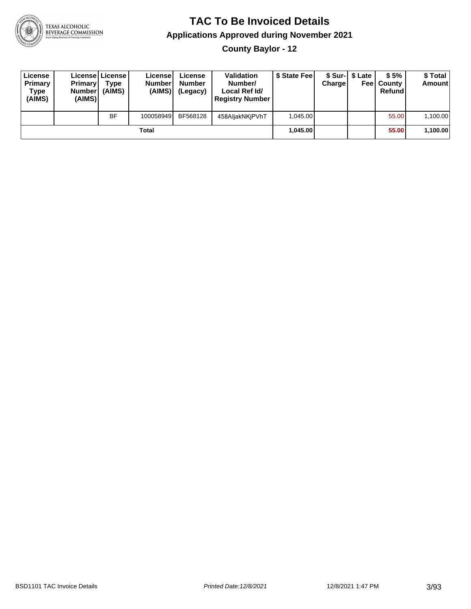

**County Baylor - 12**

| License<br>Primary<br>Type<br>(AIMS) | <b>Primary</b><br><b>Number</b><br>(AIMS) | License License<br>Type<br>(AIMS) | License<br><b>Number</b><br>(AIMS) | License<br><b>Number</b><br>(Legacy) | Validation<br>Number/<br>Local Ref Id/<br><b>Registry Number</b> | \$ State Feel | Charge | \$ Sur-1 \$ Late | \$5%<br><b>Feel County</b><br>Refund | \$ Total<br><b>Amount</b> |
|--------------------------------------|-------------------------------------------|-----------------------------------|------------------------------------|--------------------------------------|------------------------------------------------------------------|---------------|--------|------------------|--------------------------------------|---------------------------|
|                                      |                                           | <b>BF</b>                         | 100058949                          | BF568128                             | 458AljakNKjPVhT                                                  | 1.045.00      |        |                  | 55.00                                | 1,100.00                  |
|                                      |                                           |                                   | Total                              |                                      |                                                                  | 1.045.00      |        |                  | 55.00                                | 1,100.00                  |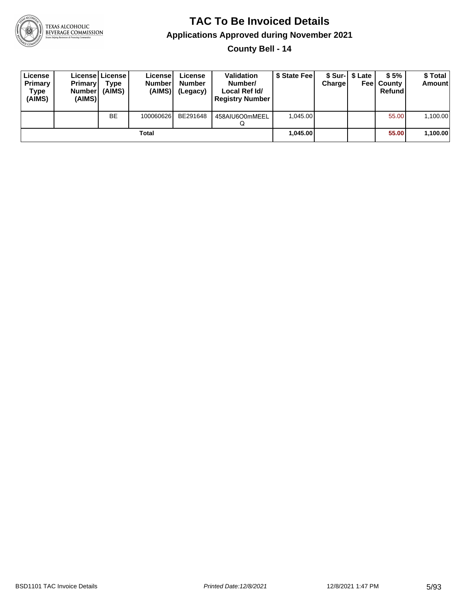

**County Bell - 14**

| License<br>Primary<br>Type<br>(AIMS) | <b>Primary</b><br><b>Number</b><br>(AIMS) | License   License  <br>Type<br>(AIMS) | Licensel<br><b>Numberl</b><br>(AIMS) | License<br><b>Number</b><br>(Legacy) | <b>Validation</b><br>Number/<br>Local Ref Id/<br><b>Registry Number</b> | \$ State Fee | Charge | \$ Sur-1 \$ Late | \$5%<br><b>Feel County</b><br>Refund | \$ Total<br><b>Amount</b> |
|--------------------------------------|-------------------------------------------|---------------------------------------|--------------------------------------|--------------------------------------|-------------------------------------------------------------------------|--------------|--------|------------------|--------------------------------------|---------------------------|
|                                      |                                           | <b>BE</b>                             | 100060626                            | BE291648                             | 458AIU6O0mMEEL                                                          | 1.045.00     |        |                  | 55.00                                | 1,100.00                  |
|                                      |                                           |                                       | Total                                |                                      |                                                                         | 1,045.00     |        |                  | 55.00                                | 1,100.00                  |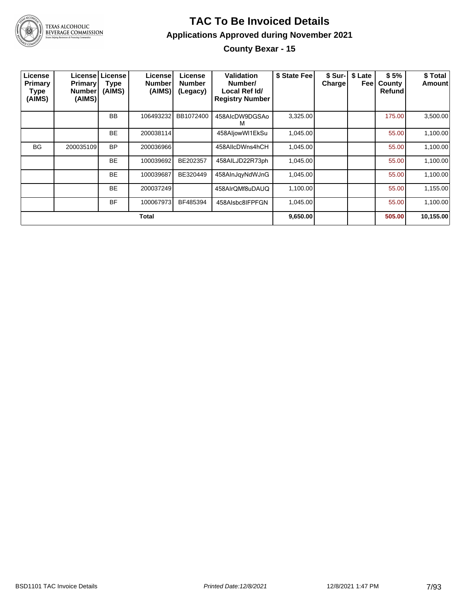

#### **TAC To Be Invoiced Details Applications Approved during November 2021 County Bexar - 15**

| License<br><b>Primary</b><br>Type<br>(AIMS) | <b>Primary</b><br><b>Number</b><br>(AIMS) | License License<br><b>Type</b><br>(AIMS) | License!<br><b>Number</b><br>(AIMS) | License<br><b>Number</b><br>(Legacy) | Validation<br>Number/<br>Local Ref Id/<br><b>Registry Number</b> | \$ State Fee | \$ Sur-<br><b>Charge!</b> | \$ Late<br>Feel | \$5%<br>County<br>Refund | \$ Total<br>Amount |
|---------------------------------------------|-------------------------------------------|------------------------------------------|-------------------------------------|--------------------------------------|------------------------------------------------------------------|--------------|---------------------------|-----------------|--------------------------|--------------------|
|                                             |                                           | <b>BB</b>                                | 106493232                           | BB1072400                            | 458AlcDW9DGSAo<br>м                                              | 3,325.00     |                           |                 | 175.00                   | 3,500.00           |
|                                             |                                           | <b>BE</b>                                | 200038114                           |                                      | 458AljowWI1EkSu                                                  | 1,045.00     |                           |                 | 55.00                    | 1,100.00           |
| <b>BG</b>                                   | 200035109                                 | <b>BP</b>                                | 200036966                           |                                      | 458AllcDWns4hCH                                                  | 1,045.00     |                           |                 | 55.00                    | 1,100.00           |
|                                             |                                           | <b>BE</b>                                | 100039692                           | BE202357                             | 458AILJD22R73ph                                                  | 1,045.00     |                           |                 | 55.00                    | 1,100.00           |
|                                             |                                           | <b>BE</b>                                | 100039687                           | BE320449                             | 458AInJqyNdWJnG                                                  | 1,045.00     |                           |                 | 55.00                    | 1,100.00           |
|                                             |                                           | <b>BE</b>                                | 200037249                           |                                      | 458AIrQMf8uDAUQ                                                  | 1,100.00     |                           |                 | 55.00                    | 1,155.00           |
|                                             |                                           | <b>BF</b>                                | 100067973                           | BF485394                             | 458Alsbc8IFPFGN                                                  | 1,045.00     |                           |                 | 55.00                    | 1,100.00           |
|                                             |                                           |                                          | <b>Total</b>                        |                                      |                                                                  | 9,650.00     |                           |                 | 505.00                   | 10,155.00          |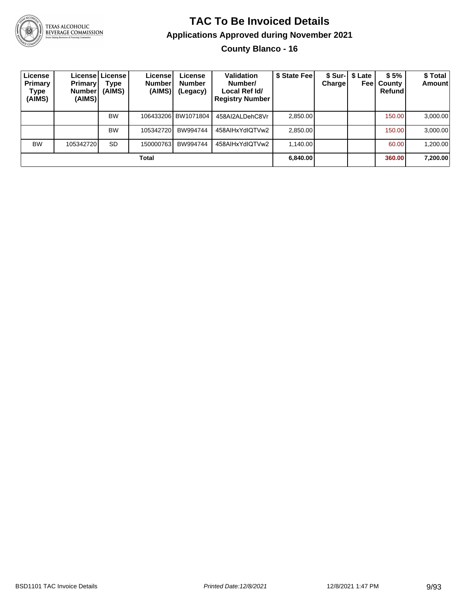

## **TAC To Be Invoiced Details Applications Approved during November 2021**

**County Blanco - 16**

| License<br>Primary<br>Type<br>(AIMS) | Primary'<br>Number<br>(AIMS) | Licensel License I<br>Type<br>(AIMS) | License!<br><b>Number</b><br>(AIMS) | License<br><b>Number</b><br>(Legacy) | Validation<br>Number/<br>Local Ref Id/<br><b>Registry Number</b> | \$ State Fee | Chargel | \$ Sur-   \$ Late<br>Feel | \$5%<br>County<br>Refund | \$Total<br><b>Amount</b> |
|--------------------------------------|------------------------------|--------------------------------------|-------------------------------------|--------------------------------------|------------------------------------------------------------------|--------------|---------|---------------------------|--------------------------|--------------------------|
|                                      |                              | <b>BW</b>                            |                                     | 106433206 BW1071804                  | 458AI2ALDehC8Vr                                                  | 2,850.00     |         |                           | 150.00                   | 3,000.00                 |
|                                      |                              | <b>BW</b>                            | 105342720                           | BW994744                             | 458AIHxYdIQTVw2                                                  | 2,850.00     |         |                           | 150.00                   | 3,000.00                 |
| <b>BW</b>                            | 105342720                    | <b>SD</b>                            | 150000763                           | BW994744                             | 458AIHxYdIQTVw2                                                  | 1,140.00     |         |                           | 60.00                    | 1,200.00                 |
|                                      |                              |                                      | Total                               |                                      |                                                                  | 6,840.00     |         |                           | 360.00                   | 7,200.00                 |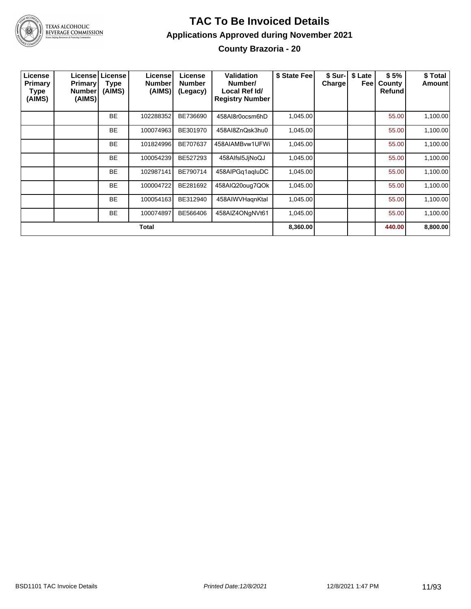

#### **TAC To Be Invoiced Details Applications Approved during November 2021 County Brazoria - 20**

| License<br>Primary<br><b>Type</b><br>(AIMS) | <b>Primary!</b><br>Number<br>(AIMS) | Licensel License<br><b>Type</b><br>(AIMS) | License<br><b>Number</b><br>(AIMS) | License<br><b>Number</b><br>(Legacy) | Validation<br>Number/<br>Local Ref Id/<br><b>Registry Number</b> | \$ State Fee | \$ Sur-I<br>Charge | \$ Late<br>Feel | \$5%<br>County<br><b>Refund</b> | \$ Total<br>Amount |
|---------------------------------------------|-------------------------------------|-------------------------------------------|------------------------------------|--------------------------------------|------------------------------------------------------------------|--------------|--------------------|-----------------|---------------------------------|--------------------|
|                                             |                                     | <b>BE</b>                                 | 102288352                          | BE736690                             | 458AI8r0ocsm6hD                                                  | 1,045.00     |                    |                 | 55.00                           | 1,100.00           |
|                                             |                                     | <b>BE</b>                                 | 100074963                          | BE301970                             | 458AI8ZnQsk3hu0                                                  | 1,045.00     |                    |                 | 55.00                           | 1,100.00           |
|                                             |                                     | <b>BE</b>                                 | 101824996                          | BE707637                             | 458AIAMBvw1UFWi                                                  | 1,045.00     |                    |                 | 55.00                           | 1,100.00           |
|                                             |                                     | <b>BE</b>                                 | 100054239                          | BE527293                             | 458AlfsI5JjNoQJ                                                  | 1,045.00     |                    |                 | 55.00                           | 1,100.00           |
|                                             |                                     | <b>BE</b>                                 | 102987141                          | BE790714                             | 458AlPGq1aqluDC                                                  | 1,045.00     |                    |                 | 55.00                           | 1,100.00           |
|                                             |                                     | <b>BE</b>                                 | 100004722                          | BE281692                             | 458AIQ20oug7QOk                                                  | 1,045.00     |                    |                 | 55.00                           | 1,100.00           |
|                                             |                                     | <b>BE</b>                                 | 100054163                          | BE312940                             | 458AIWVHagnKtal                                                  | 1,045.00     |                    |                 | 55.00                           | 1,100.00           |
|                                             |                                     | <b>BE</b>                                 | 100074897                          | BE566406                             | 458AIZ4ONgNVt61                                                  | 1,045.00     |                    |                 | 55.00                           | 1,100.00           |
|                                             |                                     |                                           | Total                              |                                      |                                                                  | 8,360.00     |                    |                 | 440.00                          | 8,800.00           |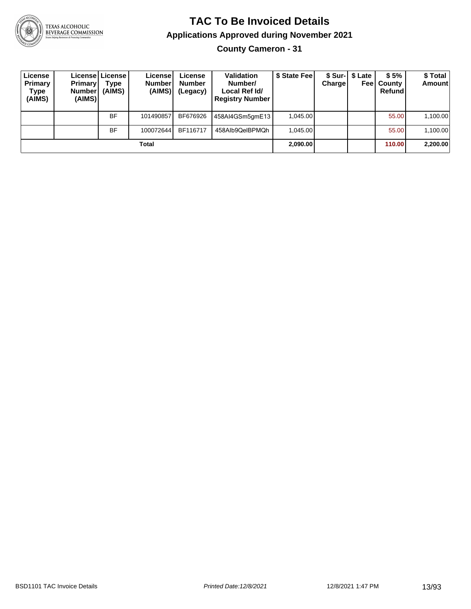

**County Cameron - 31**

| License<br>Primary<br>Type<br>(AIMS) | <b>Primary</b><br><b>Number</b><br>(AIMS) | Licensel License I<br>Type<br>(AIMS) | License<br><b>Number</b><br>(AIMS) | License<br><b>Number</b><br>(Legacy) | <b>Validation</b><br>Number/<br>Local Ref Id/<br><b>Registry Number</b> | \$ State Feel | Charge | \$ Sur-1 \$ Late | \$5%<br><b>Feel County</b><br>Refund | \$Total<br><b>Amount</b> |
|--------------------------------------|-------------------------------------------|--------------------------------------|------------------------------------|--------------------------------------|-------------------------------------------------------------------------|---------------|--------|------------------|--------------------------------------|--------------------------|
|                                      |                                           | <b>BF</b>                            | 101490857                          | BF676926                             | 458AI4GSm5gmE13                                                         | 1.045.00      |        |                  | 55.00                                | 1,100.00                 |
|                                      |                                           | <b>BF</b>                            | 100072644                          | BF116717                             | 458Alb9QeIBPMQh                                                         | 1.045.00      |        |                  | 55.00                                | 1,100.00                 |
|                                      |                                           |                                      | Total                              |                                      |                                                                         | 2,090.00      |        |                  | 110.00                               | 2,200.00                 |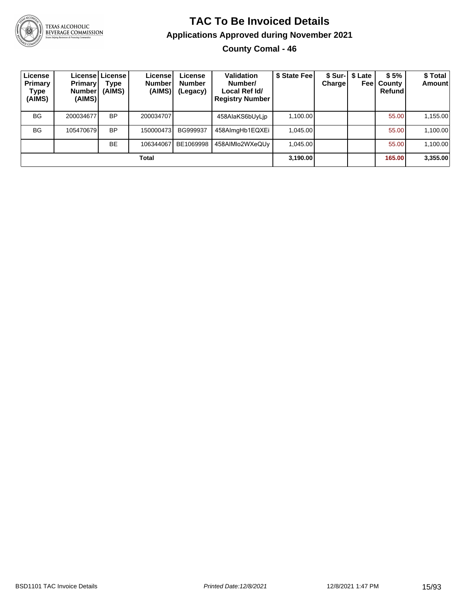

## **TAC To Be Invoiced Details Applications Approved during November 2021**

**County Comal - 46**

| License<br>Primary<br>Type<br>(AIMS) | <b>Primary</b><br><b>Number</b><br>(AIMS) | Licensel License I<br>Type<br>(AIMS) | License!<br><b>Number</b><br>(AIMS) | License<br><b>Number</b><br>(Legacy) | <b>Validation</b><br>Number/<br>Local Ref Id/<br><b>Registry Number</b> | \$ State Fee | Chargel | \$ Sur-1 \$ Late<br>Feel | \$5%<br>County<br>Refund | \$Total<br>Amount |
|--------------------------------------|-------------------------------------------|--------------------------------------|-------------------------------------|--------------------------------------|-------------------------------------------------------------------------|--------------|---------|--------------------------|--------------------------|-------------------|
| <b>BG</b>                            | 200034677                                 | <b>BP</b>                            | 200034707                           |                                      | 458AlaKS6bUyLip                                                         | 1,100.00     |         |                          | 55.00                    | 1,155.00          |
| <b>BG</b>                            | 105470679                                 | <b>BP</b>                            | 150000473                           | BG999937                             | 458AlmgHb1EQXEi                                                         | 1.045.00     |         |                          | 55.00                    | 1,100.00          |
|                                      |                                           | <b>BE</b>                            | 106344067                           | BE1069998                            | 458AIMlo2WXeQUv                                                         | 1.045.00     |         |                          | 55.00                    | 1,100.00          |
|                                      |                                           |                                      | Total                               |                                      |                                                                         | 3,190.00     |         |                          | 165.00                   | 3,355.00          |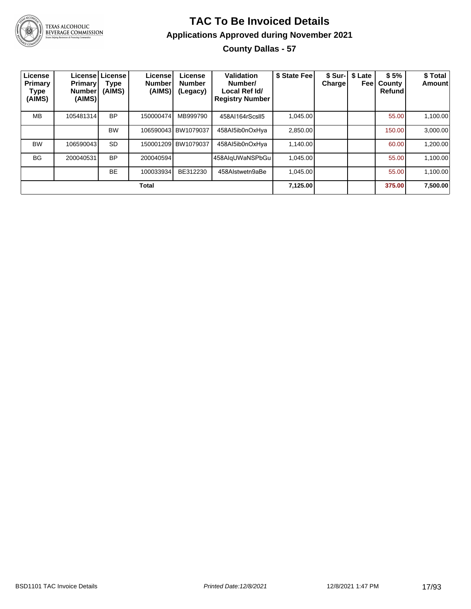

#### **TAC To Be Invoiced Details Applications Approved during November 2021 County Dallas - 57**

| License<br><b>Primary</b><br>Type<br>(AIMS) | <b>Primary</b><br><b>Number</b><br>(AIMS) | Licensel License<br>Type<br>(AIMS) | License <sup>®</sup><br><b>Number</b><br>(AIMS) | License<br><b>Number</b><br>(Legacy) | Validation<br>Number/<br>Local Ref Id/<br><b>Registry Number</b> | \$ State Fee | Chargel | \$ Sur-   \$ Late<br>Feel | \$5%<br>County<br><b>Refund</b> | \$ Total<br>Amount |
|---------------------------------------------|-------------------------------------------|------------------------------------|-------------------------------------------------|--------------------------------------|------------------------------------------------------------------|--------------|---------|---------------------------|---------------------------------|--------------------|
| <b>MB</b>                                   | 105481314                                 | <b>BP</b>                          | 150000474                                       | MB999790                             | 458AI164rScsll5                                                  | 1.045.00     |         |                           | 55.00                           | 1,100.00           |
|                                             |                                           | <b>BW</b>                          |                                                 | 106590043 BW1079037                  | 458AI5ib0nOxHya                                                  | 2.850.00     |         |                           | 150.00                          | 3.000.00           |
| <b>BW</b>                                   | 106590043                                 | <b>SD</b>                          |                                                 | 150001209 BW1079037                  | 458Al5ib0nOxHya                                                  | 1.140.00     |         |                           | 60.00                           | 1,200.00           |
| <b>BG</b>                                   | 200040531                                 | <b>BP</b>                          | 200040594                                       |                                      | 458AlgUWaNSPbGu                                                  | 1,045.00     |         |                           | 55.00                           | 1,100.00           |
|                                             |                                           | <b>BE</b>                          | 100033934                                       | BE312230                             | 458Alstwetn9aBe                                                  | 1.045.00     |         |                           | 55.00                           | 1,100.00           |
|                                             |                                           |                                    | <b>Total</b>                                    |                                      |                                                                  | 7,125.00     |         |                           | 375.00                          | 7,500.00           |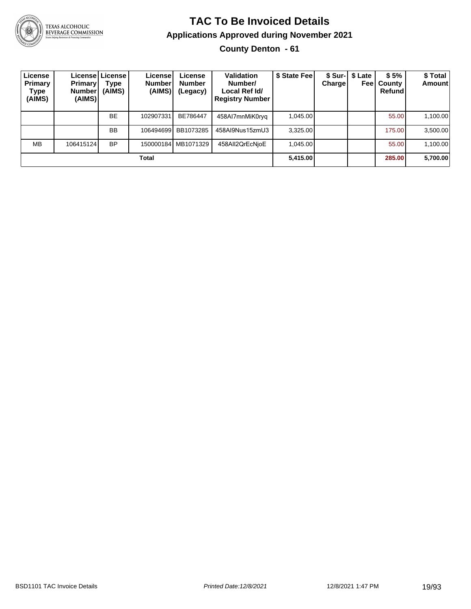

#### **TAC To Be Invoiced Details Applications Approved during November 2021 County Denton - 61**

| License<br>Primary<br>Type<br>(AIMS) | <b>Primary</b><br>Number<br>(AIMS) | Licensel License I<br>Type<br>(AIMS) | License<br><b>Number</b><br>(AIMS) | License<br><b>Number</b><br>(Legacy) | Validation<br>Number/<br>Local Ref Id/<br><b>Registry Number</b> | \$ State Fee | Chargel | \$ Sur-   \$ Late<br>Feel | \$5%<br>County<br>Refundl | \$ Total<br><b>Amount</b> |
|--------------------------------------|------------------------------------|--------------------------------------|------------------------------------|--------------------------------------|------------------------------------------------------------------|--------------|---------|---------------------------|---------------------------|---------------------------|
|                                      |                                    | <b>BE</b>                            | 102907331                          | BE786447                             | 458AI7mnMiK0ryg                                                  | 1.045.00     |         |                           | 55.00                     | 1,100.00                  |
|                                      |                                    | <b>BB</b>                            | 106494699                          | BB1073285                            | 458AI9Nus15zmU3                                                  | 3,325.00     |         |                           | 175.00                    | 3,500.00                  |
| <b>MB</b>                            | 106415124                          | <b>BP</b>                            |                                    | 150000184 MB1071329                  | 458AII2QrEcNioE                                                  | 1.045.00     |         |                           | 55.00                     | 1,100.00                  |
|                                      |                                    |                                      | Total                              |                                      |                                                                  | 5,415.00     |         |                           | 285.00                    | 5,700.00                  |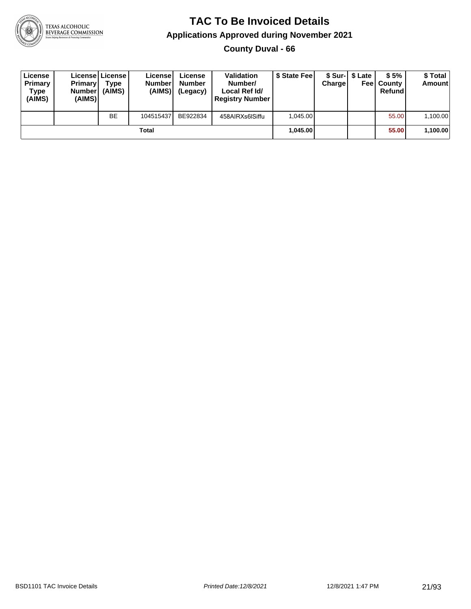

**County Duval - 66**

| License<br>Primary<br>Type<br>(AIMS) | <b>Primary</b><br>Number<br>(AIMS) | Licensel License I<br>Type<br>(AIMS) | License<br><b>Numberl</b><br>(AIMS) | License<br><b>Number</b><br>(Legacy) | <b>Validation</b><br>Number/<br>Local Ref Id/<br><b>Registry Number</b> | \$ State Feel | Charge | \$ Sur-1 \$ Late | \$5%<br><b>Feel County</b><br>Refund | \$ Total<br>Amount |
|--------------------------------------|------------------------------------|--------------------------------------|-------------------------------------|--------------------------------------|-------------------------------------------------------------------------|---------------|--------|------------------|--------------------------------------|--------------------|
|                                      |                                    | <b>BE</b>                            | 104515437                           | BE922834                             | 458AIRXs6ISiffu                                                         | 1.045.00      |        |                  | 55.00                                | 1,100.00           |
|                                      |                                    |                                      | Total                               |                                      |                                                                         | 1.045.00      |        |                  | 55.00                                | 1,100.00           |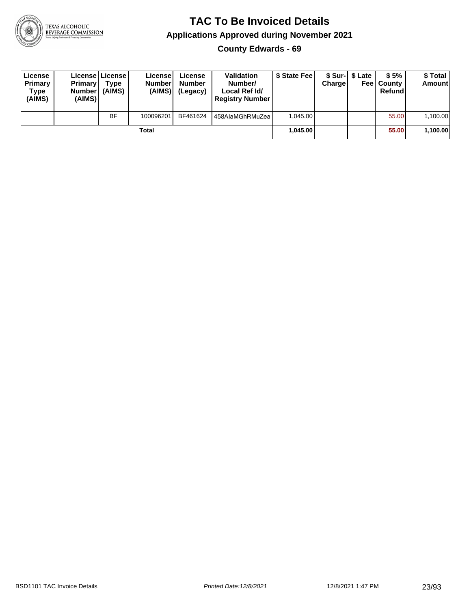

**County Edwards - 69**

| License<br>Primary<br>Type<br>(AIMS) | <b>Primary</b><br>Number<br>(AIMS) | License   License  <br>Type<br>(AIMS) | Licensel<br><b>Number</b><br>(AIMS) | License<br><b>Number</b><br>(Legacy) | <b>Validation</b><br>Number/<br>Local Ref Id/<br><b>Registry Number</b> | \$ State Feel | Charge | \$ Sur-1 \$ Late | \$5%<br><b>Feel County</b><br>Refund | \$ Total<br><b>Amount</b> |
|--------------------------------------|------------------------------------|---------------------------------------|-------------------------------------|--------------------------------------|-------------------------------------------------------------------------|---------------|--------|------------------|--------------------------------------|---------------------------|
|                                      |                                    | <b>BF</b>                             | 100096201                           | BF461624                             | 458AlaMGhRMuZea                                                         | 1.045.00      |        |                  | 55.00                                | 1,100.00                  |
|                                      |                                    |                                       | Total                               |                                      |                                                                         | 1.045.00      |        |                  | 55.00                                | 1,100.00                  |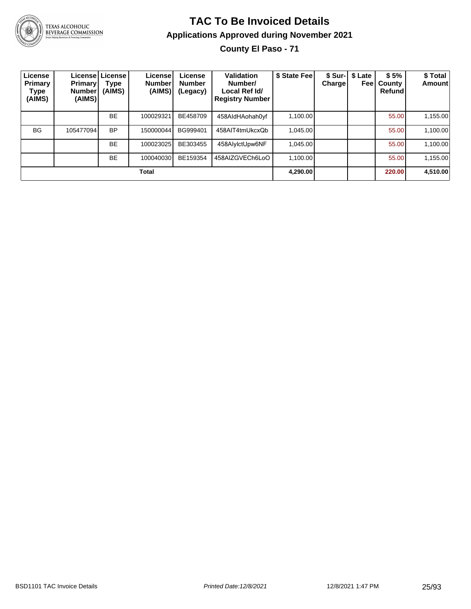

## **TAC To Be Invoiced Details Applications Approved during November 2021**

**County El Paso - 71**

| License<br>Primary<br>Type<br>(AIMS) | <b>Primary</b><br><b>Number</b><br>(AIMS) | License License<br>Type<br>(AIMS) | License<br><b>Number</b><br>(AIMS) | License<br><b>Number</b><br>(Legacy) | Validation<br>Number/<br>Local Ref Id/<br><b>Registry Number</b> | \$ State Fee | <b>Charge</b> | \$ Sur-   \$ Late<br>Feel | \$5%<br>County<br>Refund | \$ Total<br>Amount |
|--------------------------------------|-------------------------------------------|-----------------------------------|------------------------------------|--------------------------------------|------------------------------------------------------------------|--------------|---------------|---------------------------|--------------------------|--------------------|
|                                      |                                           | <b>BE</b>                         | 100029321                          | BE458709                             | 458AldHAohah0yf                                                  | 1.100.00     |               |                           | 55.00                    | 1,155.00           |
| <b>BG</b>                            | 105477094                                 | <b>BP</b>                         | 150000044                          | BG999401                             | 458AIT4tmUkcxQb                                                  | 1.045.00     |               |                           | 55.00                    | 1,100.00           |
|                                      |                                           | <b>BE</b>                         | 100023025                          | BE303455                             | 458AlylctUpw6NF                                                  | 1,045.00     |               |                           | 55.00                    | 1,100.00           |
|                                      |                                           | <b>BE</b>                         | 100040030                          | BE159354                             | 458AIZGVECh6LoO                                                  | 1.100.00     |               |                           | 55.00                    | 1,155.00           |
| Total                                |                                           |                                   |                                    |                                      |                                                                  |              |               |                           | 220.00                   | 4,510.00           |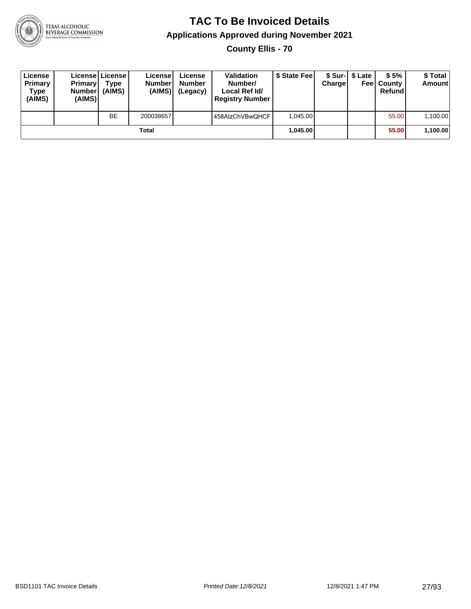

**County Ellis - 70**

| License<br>Primary<br>Type<br>(AIMS) | <b>Primary</b><br><b>Number</b><br>(AIMS) | License   License  <br>Type<br>(AIMS) | License<br><b>Number</b><br>(AIMS) | License<br><b>Number</b><br>(Legacy) | <b>Validation</b><br>Number/<br>Local Ref Id/<br><b>Registry Number</b> | \$ State Feel | Charge | \$ Sur-1 \$ Late | \$5%<br><b>Feel County</b><br>Refund | \$ Total<br><b>Amount</b> |
|--------------------------------------|-------------------------------------------|---------------------------------------|------------------------------------|--------------------------------------|-------------------------------------------------------------------------|---------------|--------|------------------|--------------------------------------|---------------------------|
|                                      |                                           | BE                                    | 200038657                          |                                      | 458AlzChVBwQHCF                                                         | 1.045.00      |        |                  | 55.00                                | 1,100.00                  |
| Total                                |                                           |                                       |                                    |                                      |                                                                         | 1.045.00      |        |                  | 55.00                                | 1,100.00                  |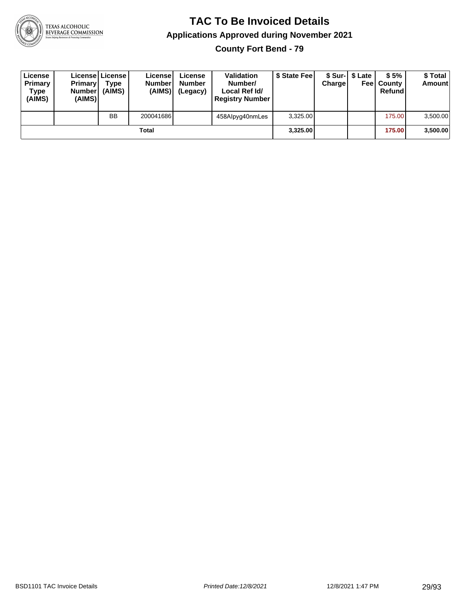

**County Fort Bend - 79**

| License<br>Primary<br>Type<br>(AIMS) | <b>Primary</b><br>Number<br>(AIMS) | License   License  <br>Type<br>(AIMS) | License<br><b>Number</b><br>(AIMS) | License<br><b>Number</b><br>(Legacy) | <b>Validation</b><br>Number/<br>Local Ref Id/<br><b>Registry Number</b> | \$ State Feel | Charge | \$ Sur-1 \$ Late | \$5%<br><b>Feel County</b><br>Refund | \$ Total<br><b>Amount</b> |
|--------------------------------------|------------------------------------|---------------------------------------|------------------------------------|--------------------------------------|-------------------------------------------------------------------------|---------------|--------|------------------|--------------------------------------|---------------------------|
|                                      |                                    | <b>BB</b>                             | 200041686                          |                                      | 458Alpyg40nmLes                                                         | 3,325.00      |        |                  | 175.00                               | 3,500.00                  |
| Total                                |                                    |                                       |                                    |                                      |                                                                         | 3.325.00      |        |                  | 175.00                               | 3,500.00                  |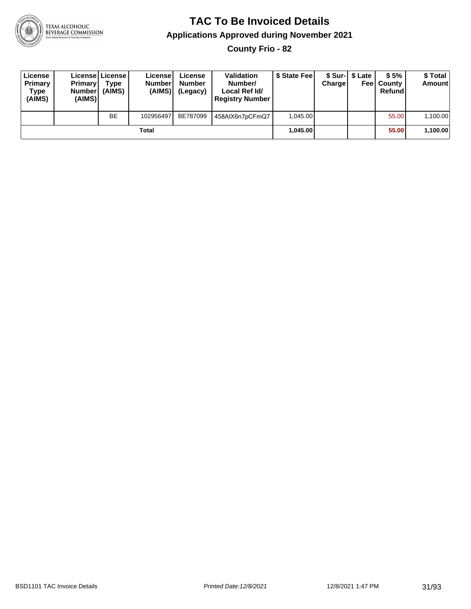

**County Frio - 82**

| License<br>Primary<br>Type<br>(AIMS) | <b>Primary</b><br>Number<br>(AIMS) | License   License  <br>Type<br>(AIMS) | Licensel<br><b>Number</b><br>(AIMS) | License<br><b>Number</b><br>(Legacy) | <b>Validation</b><br>Number/<br>Local Ref Id/<br><b>Registry Number</b> | \$ State Feel | Charge | \$ Sur-1 \$ Late | \$5%<br><b>Feel County</b><br>Refund | \$ Total<br><b>Amount</b> |
|--------------------------------------|------------------------------------|---------------------------------------|-------------------------------------|--------------------------------------|-------------------------------------------------------------------------|---------------|--------|------------------|--------------------------------------|---------------------------|
|                                      |                                    | <b>BE</b>                             | 102956497                           | BE787099                             | 458AIX6n7pCFmQ7                                                         | 1.045.00      |        |                  | 55.00                                | 1,100.00                  |
| Total                                |                                    |                                       |                                     |                                      |                                                                         | 1.045.00      |        |                  | 55.00                                | 1,100.00                  |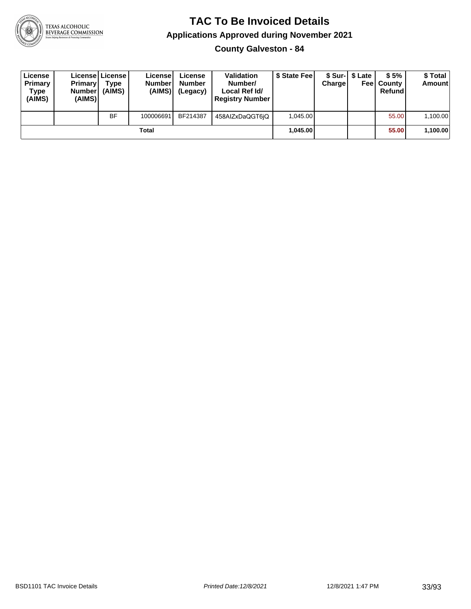

**County Galveston - 84**

| License<br>Primary<br>Type<br>(AIMS) | <b>Primary</b><br><b>Number</b><br>(AIMS) | License   License  <br>Type<br>(AIMS) | License<br><b>Number</b><br>(AIMS) | License<br><b>Number</b><br>(Legacy) | <b>Validation</b><br>Number/<br>Local Ref Id/<br><b>Registry Number</b> | \$ State Feel | Charge | \$ Sur-1 \$ Late | \$5%<br><b>Feel County</b><br>Refund | \$ Total<br>Amount |
|--------------------------------------|-------------------------------------------|---------------------------------------|------------------------------------|--------------------------------------|-------------------------------------------------------------------------|---------------|--------|------------------|--------------------------------------|--------------------|
|                                      |                                           | <b>BF</b>                             | 100006691                          | BF214387                             | 458AlZxDaQGT6jQ                                                         | 1.045.00      |        |                  | 55.00                                | 1,100.00           |
| Total                                |                                           |                                       |                                    |                                      |                                                                         | 1.045.00      |        |                  | 55.00                                | 1,100.00           |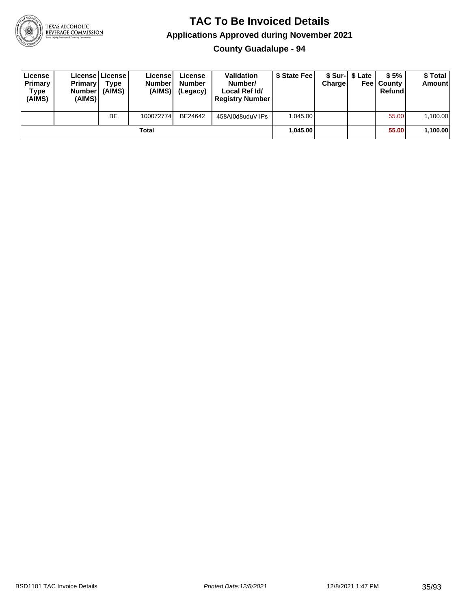

**County Guadalupe - 94**

| License<br>Primary<br>Type<br>(AIMS) | <b>Primary</b><br><b>Number</b><br>(AIMS) | License   License  <br>Type<br>(AIMS) | License<br><b>Number</b><br>(AIMS) | License<br><b>Number</b><br>(Legacy) | <b>Validation</b><br>Number/<br>Local Ref Id/<br><b>Registry Number</b> | \$ State Feel | Charge | \$ Sur-1 \$ Late | \$5%<br><b>Feel County</b><br>Refund | \$ Total<br><b>Amount</b> |
|--------------------------------------|-------------------------------------------|---------------------------------------|------------------------------------|--------------------------------------|-------------------------------------------------------------------------|---------------|--------|------------------|--------------------------------------|---------------------------|
|                                      |                                           | <b>BE</b>                             | 100072774                          | BE24642                              | 458AI0d8uduV1Ps                                                         | 1.045.00      |        |                  | 55.00                                | 1,100.00                  |
| Total                                |                                           |                                       |                                    |                                      |                                                                         | 1.045.00      |        |                  | 55.00                                | 1,100.00                  |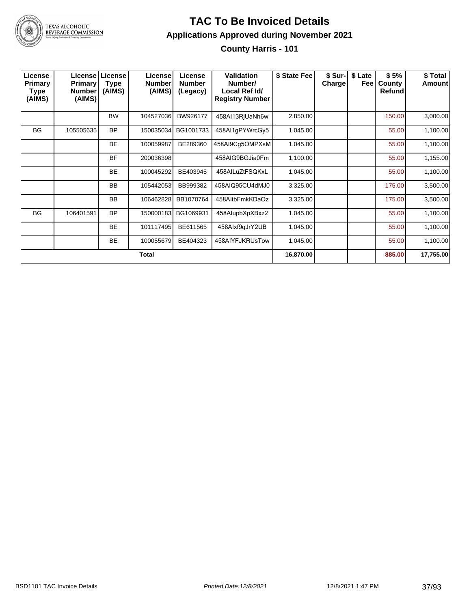

## **TAC To Be Invoiced Details Applications Approved during November 2021**

**County Harris - 101**

| License<br>Primary<br>Type<br>(AIMS) | <b>Primary</b><br><b>Number</b><br>(AIMS) | <b>License   License</b><br><b>Type</b><br>(AIMS) | License<br><b>Number</b><br>(AIMS) | License<br><b>Number</b><br>(Legacy) | Validation<br>Number/<br>Local Ref Id/<br><b>Registry Number</b> | \$ State Fee | \$ Sur-I<br>Charge | \$ Late<br>Feel | \$5%<br>County<br><b>Refund</b> | \$ Total<br>Amount |
|--------------------------------------|-------------------------------------------|---------------------------------------------------|------------------------------------|--------------------------------------|------------------------------------------------------------------|--------------|--------------------|-----------------|---------------------------------|--------------------|
|                                      |                                           | <b>BW</b>                                         | 104527036                          | BW926177                             | 458AI13RjUaNh6w                                                  | 2,850.00     |                    |                 | 150.00                          | 3,000.00           |
| <b>BG</b>                            | 105505635                                 | <b>BP</b>                                         | 150035034                          | BG1001733                            | 458AI1gPYWrcGy5                                                  | 1,045.00     |                    |                 | 55.00                           | 1,100.00           |
|                                      |                                           | <b>BE</b>                                         | 100059987                          | BE289360                             | 458AI9Cg5OMPXsM                                                  | 1,045.00     |                    |                 | 55.00                           | 1,100.00           |
|                                      |                                           | <b>BF</b>                                         | 200036398                          |                                      | 458AIG9BGJia0Fm                                                  | 1,100.00     |                    |                 | 55.00                           | 1,155.00           |
|                                      |                                           | <b>BE</b>                                         | 100045292                          | BE403945                             | 458AILuZtFSQKxL                                                  | 1,045.00     |                    |                 | 55.00                           | 1,100.00           |
|                                      |                                           | <b>BB</b>                                         | 105442053                          | BB999382                             | 458AIQ95CU4dMJ0                                                  | 3,325.00     |                    |                 | 175.00                          | 3,500.00           |
|                                      |                                           | <b>BB</b>                                         | 106462828                          | BB1070764                            | 458AltbFmkKDaOz                                                  | 3,325.00     |                    |                 | 175.00                          | 3,500.00           |
| <b>BG</b>                            | 106401591                                 | <b>BP</b>                                         | 150000183                          | BG1069931                            | 458AlupbXpXBxz2                                                  | 1,045.00     |                    |                 | 55.00                           | 1,100.00           |
|                                      |                                           | <b>BE</b>                                         | 101117495                          | BE611565                             | 458Alxf9gJrY2UB                                                  | 1,045.00     |                    |                 | 55.00                           | 1,100.00           |
|                                      |                                           | BE                                                | 100055679                          | BE404323                             | 458AIYFJKRUsTow                                                  | 1,045.00     |                    |                 | 55.00                           | 1,100.00           |
|                                      |                                           |                                                   | <b>Total</b>                       |                                      |                                                                  | 16,870.00    |                    |                 | 885.00                          | 17,755.00          |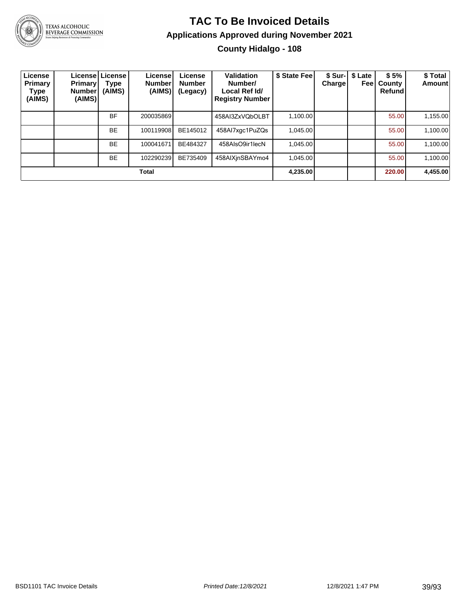

#### **TAC To Be Invoiced Details Applications Approved during November 2021 County Hidalgo - 108**

| License<br>Primary<br>Type<br>(AIMS) | <b>Primary</b><br>Number <sup>'</sup><br>(AIMS) | License License<br>Type<br>(AIMS) | License!<br><b>Number</b><br>(AIMS) | License<br><b>Number</b><br>(Legacy) | <b>Validation</b><br>Number/<br>Local Ref Id/<br><b>Registry Number</b> | \$ State Fee | <b>Chargel</b> | \$ Sur-   \$ Late<br>Feel | \$5%<br>County<br>Refund | \$ Total<br>Amount |
|--------------------------------------|-------------------------------------------------|-----------------------------------|-------------------------------------|--------------------------------------|-------------------------------------------------------------------------|--------------|----------------|---------------------------|--------------------------|--------------------|
|                                      |                                                 | BF                                | 200035869                           |                                      | 458AI3ZxVQbOLBT                                                         | 1.100.00     |                |                           | 55.00                    | 1,155.00           |
|                                      |                                                 | <b>BE</b>                         | 100119908                           | BE145012                             | 458Al7xgc1PuZQs                                                         | 1.045.00     |                |                           | 55.00                    | 1,100.00           |
|                                      |                                                 | <b>BE</b>                         | 100041671                           | BE484327                             | 458AlsO9ir1lecN                                                         | 1.045.00     |                |                           | 55.00                    | 1,100.00           |
|                                      |                                                 | <b>BE</b>                         | 102290239                           | BE735409                             | 458AIXjnSBAYmo4                                                         | 1.045.00     |                |                           | 55.00                    | 1,100.00           |
|                                      |                                                 |                                   | Total                               |                                      |                                                                         | 4.235.00     |                |                           | 220.00                   | 4,455.00           |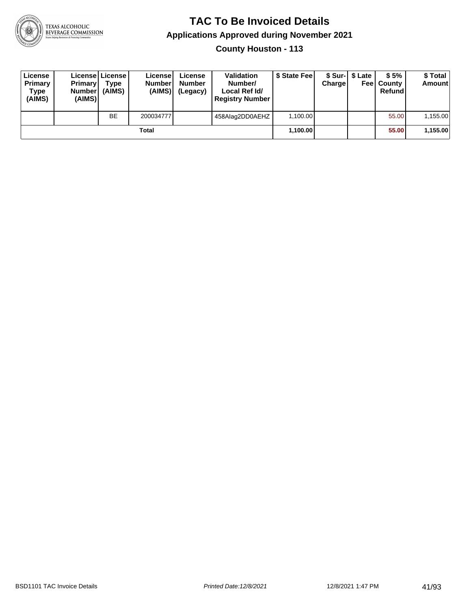

**County Houston - 113**

| License<br>Primary<br>Type<br>(AIMS) | <b>Primary</b><br><b>Number</b><br>(AIMS) | License   License  <br>Type<br>(AIMS) | License<br><b>Number</b><br>(AIMS) | License<br><b>Number</b><br>(Legacy) | <b>Validation</b><br>Number/<br>Local Ref Id/<br><b>Registry Number</b> | \$ State Feel | Charge | \$ Sur-1 \$ Late | \$5%<br><b>Feel County</b><br>Refund | \$ Total<br>Amount |
|--------------------------------------|-------------------------------------------|---------------------------------------|------------------------------------|--------------------------------------|-------------------------------------------------------------------------|---------------|--------|------------------|--------------------------------------|--------------------|
|                                      |                                           | <b>BE</b>                             | 200034777                          |                                      | 458Alaq2DD0AEHZ                                                         | 1.100.00      |        |                  | 55.00                                | 1,155.00           |
|                                      |                                           |                                       | Total                              |                                      |                                                                         | 1,100.00      |        |                  | 55.00                                | 1,155.00           |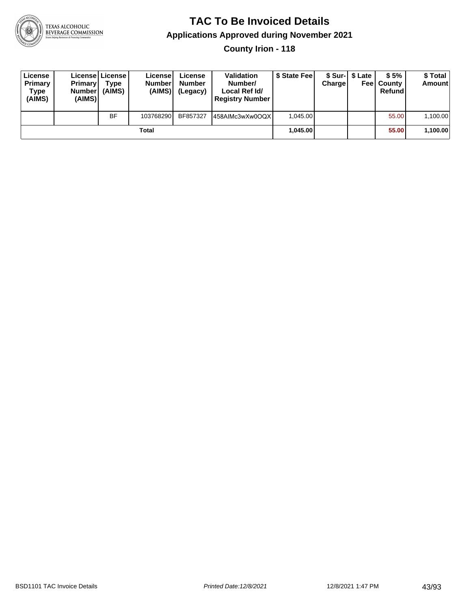

**County Irion - 118**

| License<br>Primary<br>Type<br>(AIMS) | <b>Primary</b><br><b>Number</b><br>(AIMS) | <b>License   License</b><br>Type<br>(AIMS) | License<br><b>Number</b><br>(AIMS) | License<br><b>Number</b><br>(Legacy) | <b>Validation</b><br>Number/<br>Local Ref Id/<br><b>Registry Number</b> | \$ State Feel | Charge | \$ Sur-1 \$ Late | \$5%<br><b>Feel County</b><br>Refund | \$ Total<br><b>Amount</b> |
|--------------------------------------|-------------------------------------------|--------------------------------------------|------------------------------------|--------------------------------------|-------------------------------------------------------------------------|---------------|--------|------------------|--------------------------------------|---------------------------|
|                                      |                                           | <b>BF</b>                                  | 103768290                          | BF857327                             | 458AIMc3wXw0OQX                                                         | 1.045.00      |        |                  | 55.00                                | 1,100.00                  |
|                                      |                                           |                                            | Total                              |                                      |                                                                         | 1.045.00      |        |                  | 55.00                                | 1,100.00                  |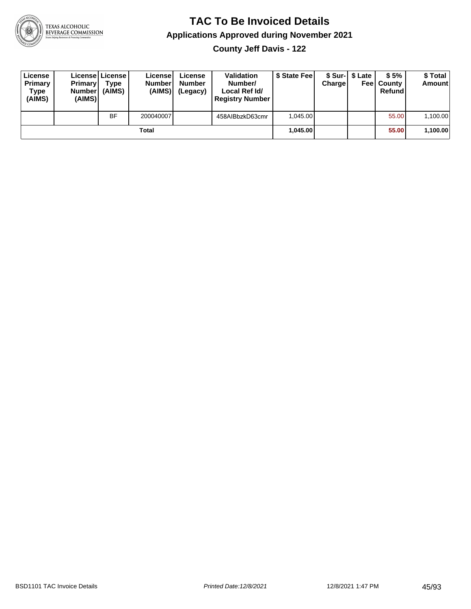

**County Jeff Davis - 122**

| License<br>Primary<br>Type<br>(AIMS) | <b>Primary</b><br><b>Number</b><br>(AIMS) | License   License  <br>Type<br>(AIMS) | License<br><b>Number</b><br>(AIMS) | License<br><b>Number</b><br>(Legacy) | <b>Validation</b><br>Number/<br>Local Ref Id/<br><b>Registry Number</b> | \$ State Fee | Charge | \$ Sur-1 \$ Late | \$5%<br><b>Feel County</b><br>Refund | \$ Total<br><b>Amount</b> |
|--------------------------------------|-------------------------------------------|---------------------------------------|------------------------------------|--------------------------------------|-------------------------------------------------------------------------|--------------|--------|------------------|--------------------------------------|---------------------------|
|                                      |                                           | <b>BF</b>                             | 200040007                          |                                      | 458AIBbzkD63cmr                                                         | 1.045.00     |        |                  | 55.00                                | 1,100.00                  |
|                                      |                                           |                                       | Total                              |                                      |                                                                         | 1.045.00     |        |                  | 55.00                                | 1,100.00                  |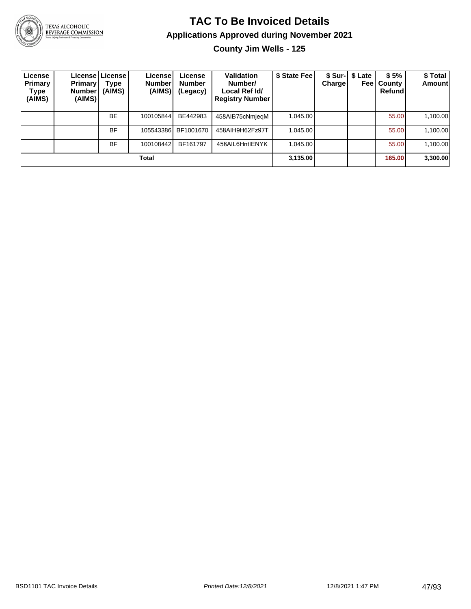

## **TAC To Be Invoiced Details Applications Approved during November 2021**

**County Jim Wells - 125**

| License<br><b>Primary</b><br>Type<br>(AIMS) | <b>Primary</b><br><b>Number</b><br>(AIMS) | Licensel License I<br>Type<br>(AIMS) | License<br>Number<br>(AIMS) | License<br><b>Number</b><br>(Legacy) | <b>Validation</b><br>Number/<br>Local Ref Id/<br><b>Registry Number</b> | \$ State Fee | <b>Charge</b> | \$ Sur-   \$ Late<br>Feel | \$5%<br>County<br>Refund | \$Total<br>Amount |
|---------------------------------------------|-------------------------------------------|--------------------------------------|-----------------------------|--------------------------------------|-------------------------------------------------------------------------|--------------|---------------|---------------------------|--------------------------|-------------------|
|                                             |                                           | <b>BE</b>                            | 100105844                   | BE442983                             | 458AIB75cNmjegM                                                         | 1,045.00     |               |                           | 55.00                    | 1,100.00          |
|                                             |                                           | <b>BF</b>                            | 105543386                   | BF1001670                            | 458AIH9H62Fz97T                                                         | 1.045.00     |               |                           | 55.00                    | 1,100.00          |
|                                             |                                           | <b>BF</b>                            | 100108442                   | BF161797                             | 458AIL6HntIENYK                                                         | 1.045.00     |               |                           | 55.00                    | 1,100.00          |
|                                             |                                           |                                      | Total                       |                                      |                                                                         | 3,135.00     |               |                           | 165.00                   | 3,300.00          |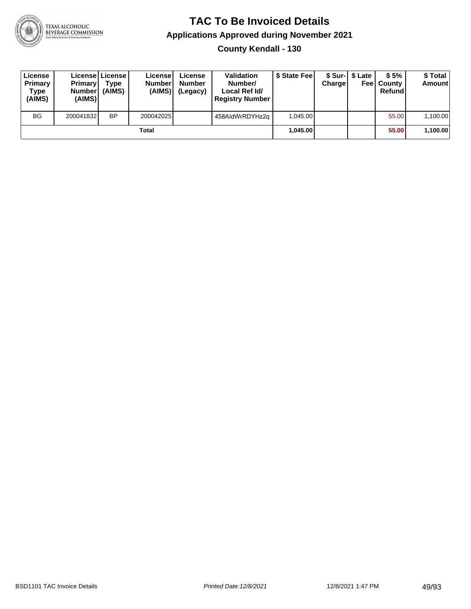

**County Kendall - 130**

| License<br>Primary<br>Type<br>(AIMS) | <b>Primary</b><br>Number<br>(AIMS) | License   License  <br>Type<br>(AIMS) | License<br><b>Number</b><br>(AIMS) | License<br><b>Number</b><br>(Legacy) | <b>Validation</b><br>Number/<br>Local Ref Id/<br><b>Registry Number</b> | \$ State Feel | Charge | \$ Sur-1 \$ Late | \$5%<br><b>Feel County</b><br>Refund | \$ Total<br><b>Amount</b> |
|--------------------------------------|------------------------------------|---------------------------------------|------------------------------------|--------------------------------------|-------------------------------------------------------------------------|---------------|--------|------------------|--------------------------------------|---------------------------|
| <b>BG</b>                            | 200041832                          | <b>BP</b>                             | 200042025                          |                                      | 458AldWrRDYHz2a                                                         | 1.045.00      |        |                  | 55.00                                | 1,100.00                  |
|                                      |                                    |                                       | Total                              |                                      |                                                                         | 1.045.00      |        |                  | 55.00                                | 1,100.00                  |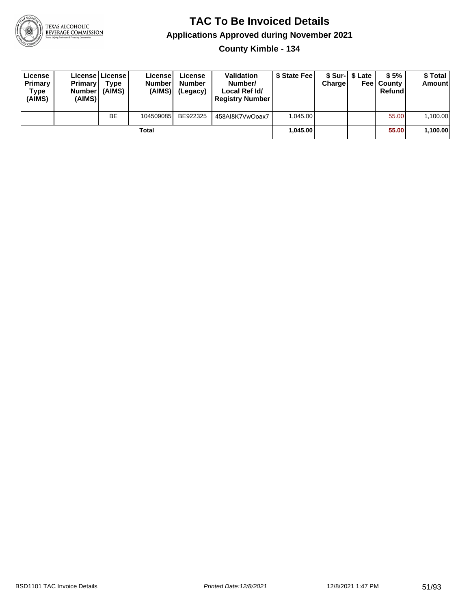

**County Kimble - 134**

| License<br>Primary<br>Type<br>(AIMS) | <b>Primary</b><br><b>Number</b><br>(AIMS) | License   License  <br>Type<br>(AIMS) | License<br><b>Number</b><br>(AIMS) | License<br><b>Number</b><br>(Legacy) | <b>Validation</b><br>Number/<br>Local Ref Id/<br><b>Registry Number</b> | \$ State Feel | Charge | \$ Sur-1 \$ Late | \$5%<br><b>Feel County</b><br>Refund | \$ Total<br><b>Amount</b> |
|--------------------------------------|-------------------------------------------|---------------------------------------|------------------------------------|--------------------------------------|-------------------------------------------------------------------------|---------------|--------|------------------|--------------------------------------|---------------------------|
|                                      |                                           | <b>BE</b>                             | 104509085                          | BE922325                             | 458AI8K7VwOoax7                                                         | 1.045.00      |        |                  | 55.00                                | 1,100.00                  |
|                                      |                                           |                                       | Total                              |                                      |                                                                         | 1.045.00      |        |                  | 55.00                                | 1,100.00                  |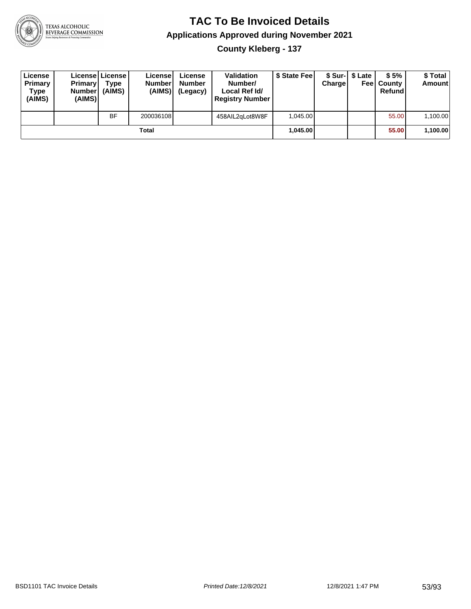

**County Kleberg - 137**

| License<br>Primary<br>Type<br>(AIMS) | <b>Primary</b><br><b>Number</b><br>(AIMS)I | <b>License   License</b><br>Type<br>(AIMS) | License<br><b>Number</b><br>(AIMS) | License<br><b>Number</b><br>(Legacy) | <b>Validation</b><br>Number/<br>Local Ref Id/<br><b>Registry Number</b> | \$ State Feel | Charge | \$ Sur-1 \$ Late | \$5%<br><b>Feel County</b><br>Refund | \$ Total<br><b>Amount</b> |
|--------------------------------------|--------------------------------------------|--------------------------------------------|------------------------------------|--------------------------------------|-------------------------------------------------------------------------|---------------|--------|------------------|--------------------------------------|---------------------------|
|                                      |                                            | <b>BF</b>                                  | 200036108                          |                                      | 458AIL2qLot8W8F                                                         | 1.045.00      |        |                  | 55.00                                | 1,100.00                  |
|                                      |                                            |                                            | Total                              |                                      |                                                                         | 1.045.00      |        |                  | 55.00                                | 1,100.00                  |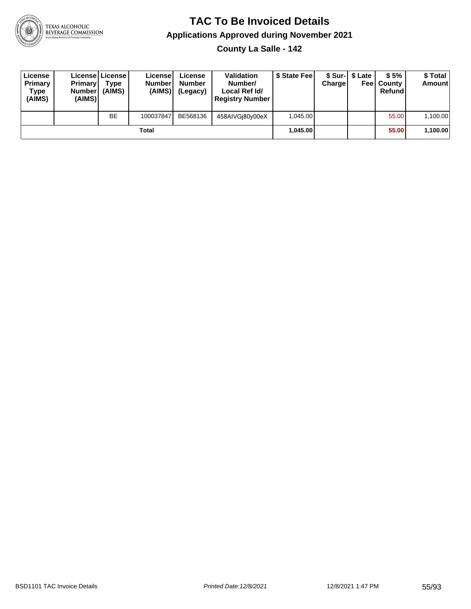

**County La Salle - 142**

| License<br>Primary<br>Type<br>(AIMS) | <b>Primary</b><br>Number<br>(AIMS) | License   License  <br>Type<br>(AIMS) | Licensel<br><b>Number</b><br>(AIMS) | License<br><b>Number</b><br>(Legacy) | <b>Validation</b><br>Number/<br>Local Ref Id/<br><b>Registry Number</b> | \$ State Feel | Charge | \$ Sur-1 \$ Late | \$5%<br><b>Feel County</b><br>Refund | \$ Total<br><b>Amount</b> |
|--------------------------------------|------------------------------------|---------------------------------------|-------------------------------------|--------------------------------------|-------------------------------------------------------------------------|---------------|--------|------------------|--------------------------------------|---------------------------|
|                                      |                                    | <b>BE</b>                             | 100037847                           | BE568136                             | 458AIVGi80y00eX                                                         | 1.045.00      |        |                  | 55.00                                | 1,100.00                  |
|                                      |                                    |                                       | Total                               |                                      |                                                                         | 1.045.00      |        |                  | 55.00                                | 1,100.00                  |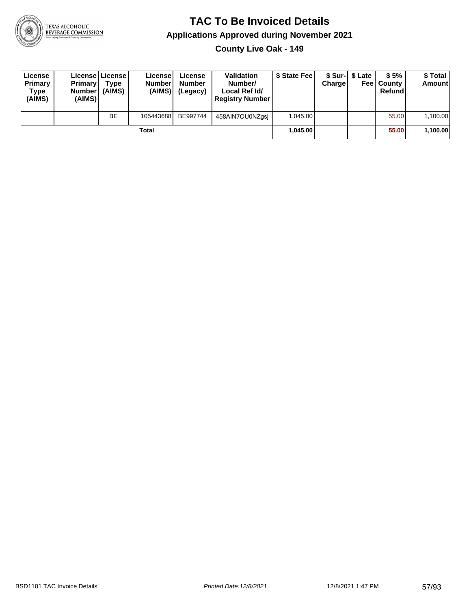

**County Live Oak - 149**

| License<br>Primary<br>Type<br>(AIMS) | <b>Primary</b><br>Number<br>(AIMS) | License   License  <br>Type<br>(AIMS) | Licensel<br><b>Number</b><br>(AIMS) | License<br><b>Number</b><br>(Legacy) | <b>Validation</b><br>Number/<br>Local Ref Id/<br><b>Registry Number</b> | \$ State Feel | Charge | \$ Sur-1 \$ Late | \$5%<br><b>Feel County</b><br>Refund | \$ Total<br><b>Amount</b> |
|--------------------------------------|------------------------------------|---------------------------------------|-------------------------------------|--------------------------------------|-------------------------------------------------------------------------|---------------|--------|------------------|--------------------------------------|---------------------------|
|                                      |                                    | <b>BE</b>                             | 105443688                           | BE997744                             | 458AIN7OU0NZgsi                                                         | 1.045.00      |        |                  | 55.00                                | 1,100.00                  |
|                                      |                                    |                                       | Total                               |                                      |                                                                         | 1.045.00      |        |                  | 55.00                                | 1,100.00                  |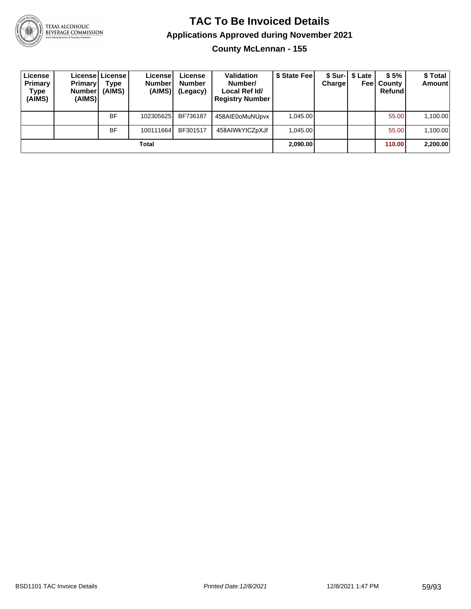

## **TAC To Be Invoiced Details Applications Approved during November 2021**

**County McLennan - 155**

| License<br>Primary<br>Type<br>(AIMS) | Primary<br><b>Number</b><br>(AIMS) | License License<br>Type<br>(AIMS) | License <sup>1</sup><br><b>Number</b><br>(AIMS) | License<br><b>Number</b><br>(Legacy) | <b>Validation</b><br>Number/<br>Local Ref Id/<br><b>Registry Number</b> | \$ State Feel | Charge | \$ Sur-1 \$ Late | \$5%<br><b>Feel County</b><br>Refund | \$Total<br><b>Amount</b> |
|--------------------------------------|------------------------------------|-----------------------------------|-------------------------------------------------|--------------------------------------|-------------------------------------------------------------------------|---------------|--------|------------------|--------------------------------------|--------------------------|
|                                      |                                    | <b>BF</b>                         | 102305625                                       | BF736187                             | 458AIE0oMuNUpvx                                                         | 1.045.00      |        |                  | 55.00                                | 1,100.00                 |
|                                      |                                    | <b>BF</b>                         | 100111664                                       | BF301517                             | 458AIWkYICZpXJf                                                         | 1.045.00      |        |                  | 55.00                                | 1,100.00                 |
|                                      |                                    |                                   | Total                                           |                                      |                                                                         | 2.090.00      |        |                  | 110.00                               | 2,200.00                 |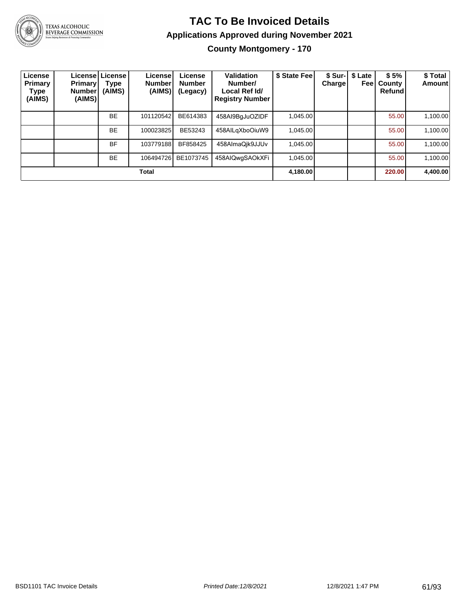

## **TAC To Be Invoiced Details Applications Approved during November 2021**

**County Montgomery - 170**

| License<br>Primary<br>Type<br>(AIMS) | Primary'<br>Number!<br>(AIMS) | Licensel License<br>Type<br>(AIMS) | Licensel<br><b>Number</b><br>(AIMS) | License<br><b>Number</b><br>(Legacy) | Validation<br>Number/<br>Local Ref Id/<br><b>Registry Number</b> | \$ State Fee | <b>Charge</b> | \$ Sur-   \$ Late<br>Feel | \$5%<br>County<br><b>Refund</b> | \$ Total<br>Amount |
|--------------------------------------|-------------------------------|------------------------------------|-------------------------------------|--------------------------------------|------------------------------------------------------------------|--------------|---------------|---------------------------|---------------------------------|--------------------|
|                                      |                               | <b>BE</b>                          | 101120542                           | BE614383                             | 458AI9BgJuOZIDF                                                  | 1.045.00     |               |                           | 55.00                           | 1,100.00           |
|                                      |                               | <b>BE</b>                          | 100023825                           | BE53243                              | 458AILgXboOiuW9                                                  | 1.045.00     |               |                           | 55.00                           | 1,100.00           |
|                                      |                               | <b>BF</b>                          | 103779188                           | BF858425                             | 458AlmaQik9JJUv                                                  | 1,045.00     |               |                           | 55.00                           | 1,100.00           |
|                                      |                               | <b>BE</b>                          | 106494726                           | BE1073745                            | 458AIQwqSAOkXFi                                                  | 1,045.00     |               |                           | 55.00                           | 1,100.00           |
| Total                                |                               |                                    |                                     |                                      |                                                                  |              |               |                           | 220.00                          | 4,400.00           |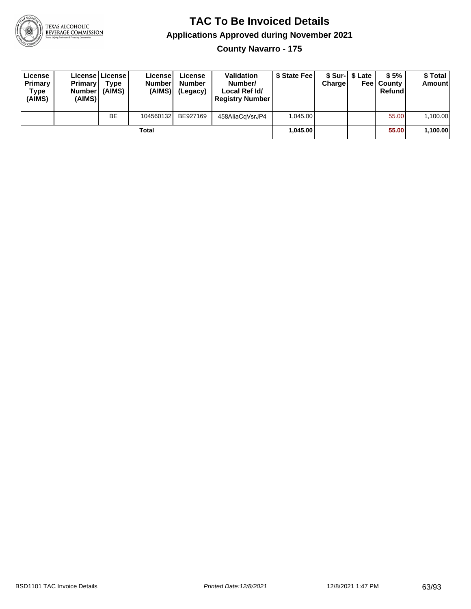

**County Navarro - 175**

| License<br>Primary<br>Type<br>(AIMS) | <b>Primary</b><br>Number<br>(AIMS) | License   License  <br>Type<br>(AIMS) | License<br><b>Number</b><br>(AIMS) | License<br><b>Number</b><br>(Legacy) | <b>Validation</b><br>Number/<br>Local Ref Id/<br><b>Registry Number</b> | \$ State Feel | Charge | \$ Sur-1 \$ Late | \$5%<br><b>Feel County</b><br>Refund | \$ Total<br><b>Amount</b> |
|--------------------------------------|------------------------------------|---------------------------------------|------------------------------------|--------------------------------------|-------------------------------------------------------------------------|---------------|--------|------------------|--------------------------------------|---------------------------|
|                                      |                                    | <b>BE</b>                             | 104560132                          | BE927169                             | 458AliaCqVsrJP4                                                         | 1,045.00      |        |                  | 55.00                                | 1,100.00                  |
| Total                                |                                    |                                       |                                    |                                      |                                                                         | 1.045.00      |        |                  | 55.00                                | 1,100.00                  |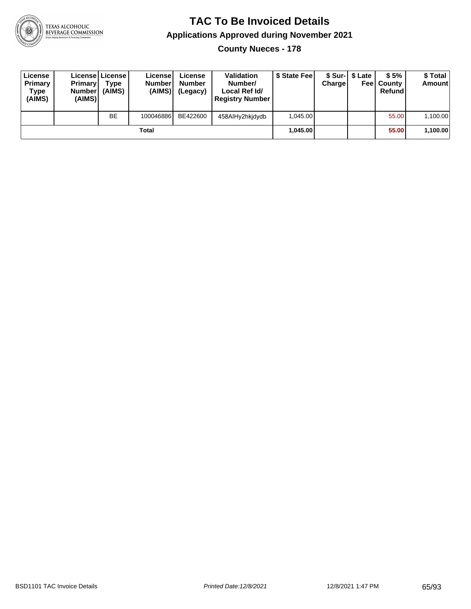

**County Nueces - 178**

| License<br>Primary<br>Type<br>(AIMS) | <b>Primary</b><br>Number<br>(AIMS) | License   License  <br>Type<br>(AIMS) | License<br><b>Numberl</b><br>(AIMS) | License<br><b>Number</b><br>(Legacy) | <b>Validation</b><br>Number/<br>Local Ref Id/<br><b>Registry Number</b> | \$ State Fee | Charge | \$ Sur-1 \$ Late | \$5%<br><b>Feel County</b><br>Refund | \$ Total<br><b>Amount</b> |
|--------------------------------------|------------------------------------|---------------------------------------|-------------------------------------|--------------------------------------|-------------------------------------------------------------------------|--------------|--------|------------------|--------------------------------------|---------------------------|
|                                      |                                    | <b>BE</b>                             | 100046886                           | BE422600                             | 458AlHy2hkidydb                                                         | 1.045.00     |        |                  | 55.00                                | 1,100.00                  |
| Total                                |                                    |                                       |                                     |                                      |                                                                         | 1.045.00     |        |                  | 55.00                                | 1,100.00                  |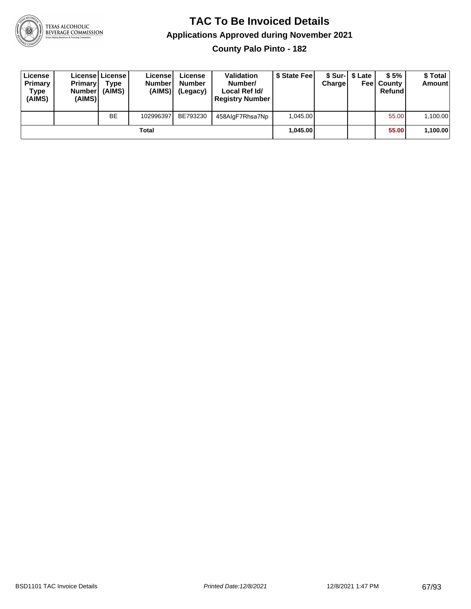

**County Palo Pinto - 182**

| License<br>Primary<br>Type<br>(AIMS) | <b>Primary</b><br><b>Number</b><br>(AIMS) | License   License  <br>Type<br>(AIMS) | License<br><b>Numberl</b><br>(AIMS) | License<br><b>Number</b><br>(Legacy) | <b>Validation</b><br>Number/<br>Local Ref Id/<br><b>Registry Number</b> | \$ State Feel | Charge | \$ Sur-1 \$ Late | \$5%<br><b>Feel County</b><br>Refundl | \$ Total<br>Amount |
|--------------------------------------|-------------------------------------------|---------------------------------------|-------------------------------------|--------------------------------------|-------------------------------------------------------------------------|---------------|--------|------------------|---------------------------------------|--------------------|
|                                      |                                           | <b>BE</b>                             | 102996397                           | BE793230                             | 458AlgF7Rhsa7Np                                                         | 1.045.00      |        |                  | 55.00                                 | 1,100.00           |
| Total                                |                                           |                                       |                                     |                                      |                                                                         | 1.045.00      |        |                  | 55.00                                 | 1,100.00           |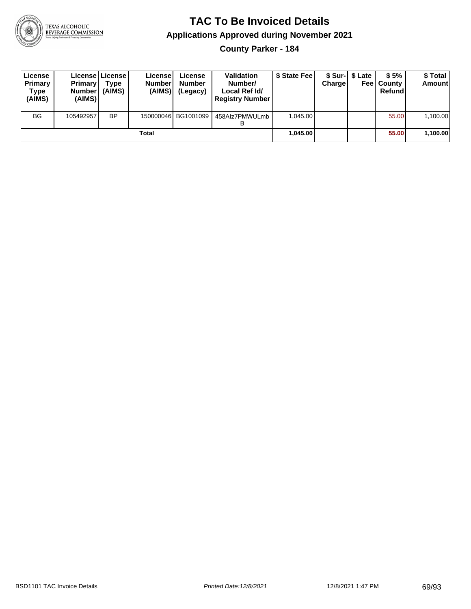

**County Parker - 184**

| License<br>Primary<br>Type<br>(AIMS) | <b>Primary</b><br>Number<br>(AIMS) | License   License  <br>Type<br>(AIMS) | Licensel<br><b>Number</b><br>(AIMS) | License<br><b>Number</b><br>(Legacy) | <b>Validation</b><br>Number/<br>Local Ref Id/<br><b>Registry Number</b> | \$ State Feel | <b>Charge</b> | \$ Sur-1 \$ Late | \$5%<br><b>Feel County</b><br>Refund | \$ Total<br><b>Amount</b> |
|--------------------------------------|------------------------------------|---------------------------------------|-------------------------------------|--------------------------------------|-------------------------------------------------------------------------|---------------|---------------|------------------|--------------------------------------|---------------------------|
| <b>BG</b>                            | 105492957                          | <b>BP</b>                             |                                     | 150000046 BG1001099                  | 458Alz7PMWULmb                                                          | 1.045.00      |               |                  | 55.00                                | 1,100.00                  |
| Total                                |                                    |                                       |                                     |                                      |                                                                         | 1,045.00      |               |                  | 55.00                                | 1,100.00                  |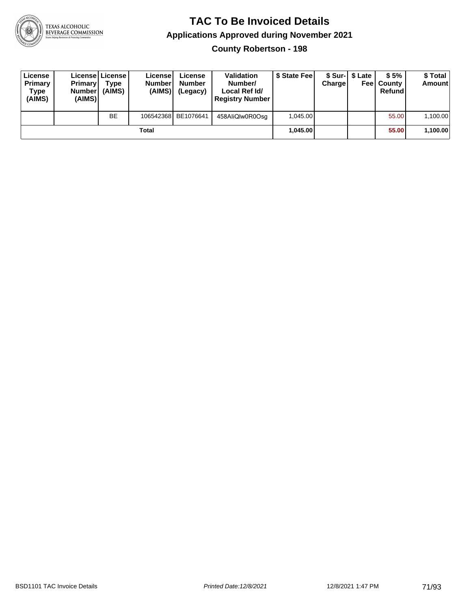

**County Robertson - 198**

| License<br>Primary<br>Type<br>(AIMS) | <b>Primary</b><br>Number<br>(AIMS) | <b>License   License</b><br>Type<br>(AIMS) | License<br><b>Number</b><br>(AIMS) | License<br><b>Number</b><br>(Legacy) | <b>Validation</b><br>Number/<br>Local Ref Id/<br><b>Registry Number</b> | \$ State Feel | Charge | \$ Sur-1 \$ Late | \$5%<br><b>Feel County</b><br>Refund | \$ Total<br><b>Amount</b> |
|--------------------------------------|------------------------------------|--------------------------------------------|------------------------------------|--------------------------------------|-------------------------------------------------------------------------|---------------|--------|------------------|--------------------------------------|---------------------------|
|                                      |                                    | <b>BE</b>                                  |                                    | 106542368 BE1076641                  | 458AliQlw0R0Osg                                                         | 1.045.00      |        |                  | 55.00                                | 1,100.00                  |
| Total                                |                                    |                                            |                                    |                                      |                                                                         | 1.045.00      |        |                  | 55.00                                | 1,100.00                  |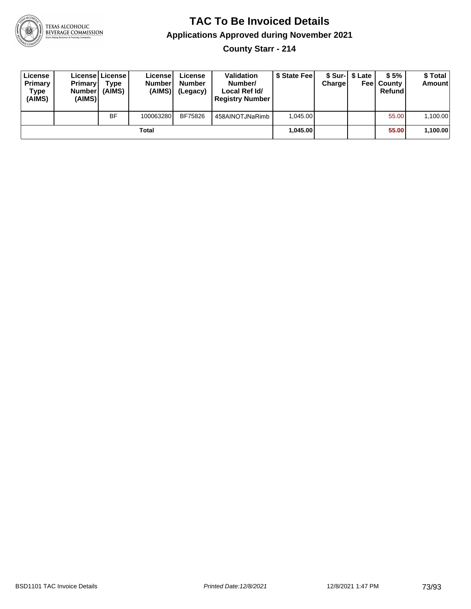

**County Starr - 214**

| License<br>Primary<br>Type<br>(AIMS) | <b>Primary</b><br>Number<br>(AIMS) | License License<br>Type<br>(AIMS) | License<br><b>Number</b><br>(AIMS) | License<br><b>Number</b><br>(Legacy) | <b>Validation</b><br>Number/<br>Local Ref Id/<br><b>Registry Number</b> | \$ State Feel | Charge | \$ Sur-1 \$ Late | \$5%<br><b>Feel County</b><br>Refund | \$ Total<br><b>Amount</b> |
|--------------------------------------|------------------------------------|-----------------------------------|------------------------------------|--------------------------------------|-------------------------------------------------------------------------|---------------|--------|------------------|--------------------------------------|---------------------------|
|                                      |                                    | BF                                | 100063280                          | BF75826                              | 458AINOTJNaRimb                                                         | 1.045.00      |        |                  | 55.00                                | 1,100.00                  |
|                                      |                                    |                                   | <b>Total</b>                       |                                      |                                                                         | 1.045.00      |        |                  | 55.00                                | 1,100.00                  |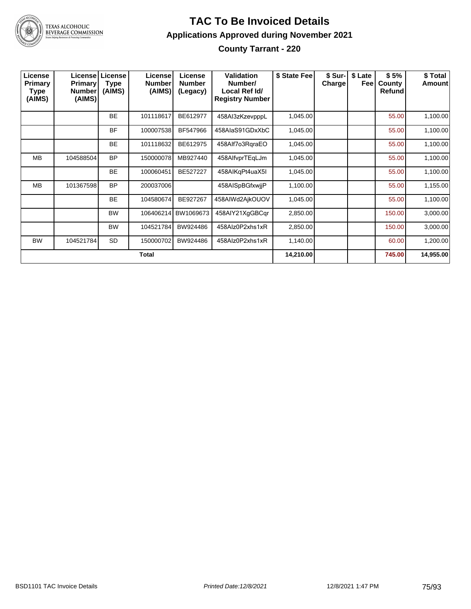

#### **TAC To Be Invoiced Details Applications Approved during November 2021 County Tarrant - 220**

| License<br><b>Primary</b><br>Type<br>(AIMS) | <b>Primary</b><br><b>Number</b><br>(AIMS) | <b>License   License</b><br>Type<br>(AIMS) | License<br><b>Number</b><br>(AIMS) | License<br><b>Number</b><br>(Legacy) | Validation<br>Number/<br>Local Ref Id/<br><b>Registry Number</b> | \$ State Fee | \$ Sur-<br><b>Charge</b> | \$ Late<br>Feel | \$5%<br>County<br>Refund | \$ Total<br><b>Amount</b> |
|---------------------------------------------|-------------------------------------------|--------------------------------------------|------------------------------------|--------------------------------------|------------------------------------------------------------------|--------------|--------------------------|-----------------|--------------------------|---------------------------|
|                                             |                                           | <b>BE</b>                                  | 101118617                          | BE612977                             | 458Al3zKzevpppL                                                  | 1,045.00     |                          |                 | 55.00                    | 1,100.00                  |
|                                             |                                           | <b>BF</b>                                  | 100007538                          | BF547966                             | 458AlaS91GDxXbC                                                  | 1,045.00     |                          |                 | 55.00                    | 1,100.00                  |
|                                             |                                           | <b>BE</b>                                  | 101118632                          | BE612975                             | 458Alf7o3RgraEO                                                  | 1,045.00     |                          |                 | 55.00                    | 1,100.00                  |
| MВ                                          | 104588504                                 | <b>BP</b>                                  | 150000078                          | MB927440                             | 458AlfvprTEqLJm                                                  | 1,045.00     |                          |                 | 55.00                    | 1,100.00                  |
|                                             |                                           | <b>BE</b>                                  | 100060451                          | BE527227                             | 458AIKqPt4uaX5I                                                  | 1,045.00     |                          |                 | 55.00                    | 1,100.00                  |
| <b>MB</b>                                   | 101367598                                 | <b>BP</b>                                  | 200037006                          |                                      | 458AISpBGfxwijP                                                  | 1,100.00     |                          |                 | 55.00                    | 1,155.00                  |
|                                             |                                           | <b>BE</b>                                  | 104580674                          | BE927267                             | 458AIWd2AjkOUOV                                                  | 1,045.00     |                          |                 | 55.00                    | 1,100.00                  |
|                                             |                                           | <b>BW</b>                                  | 106406214                          | BW1069673                            | 458AIY21XgGBCqr                                                  | 2,850.00     |                          |                 | 150.00                   | 3,000.00                  |
|                                             |                                           | <b>BW</b>                                  | 104521784                          | BW924486                             | 458Alz0P2xhs1xR                                                  | 2,850.00     |                          |                 | 150.00                   | 3,000.00                  |
| <b>BW</b>                                   | 104521784                                 | <b>SD</b>                                  | 150000702                          | BW924486                             | 458Alz0P2xhs1xR                                                  | 1,140.00     |                          |                 | 60.00                    | 1,200.00                  |
|                                             |                                           |                                            | <b>Total</b>                       |                                      |                                                                  | 14,210.00    |                          |                 | 745.00                   | 14,955.00                 |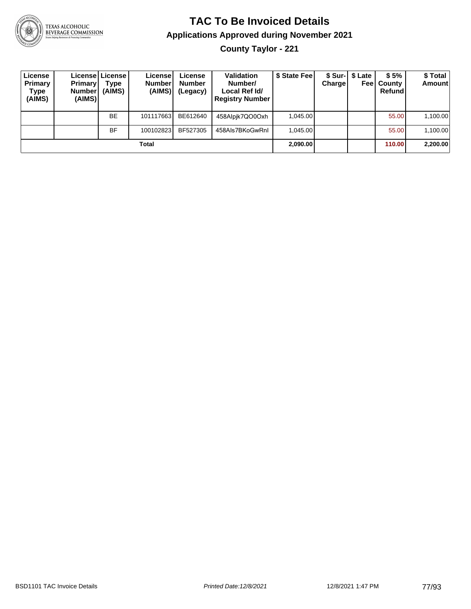

**County Taylor - 221**

| License<br><b>Primary</b><br>Type<br>(AIMS) | <b>Primary</b><br><b>Number</b><br>(AIMS) | License   License  <br>Type<br>(AIMS) | License!<br><b>Number</b><br>(AIMS) | License<br><b>Number</b><br>(Legacy) | <b>Validation</b><br>Number/<br>Local Ref Id/<br><b>Registry Number</b> | \$ State Feel | Charge | \$ Sur-1 \$ Late<br>Feel | \$5%<br>County<br>Refund | \$Total<br><b>Amount</b> |
|---------------------------------------------|-------------------------------------------|---------------------------------------|-------------------------------------|--------------------------------------|-------------------------------------------------------------------------|---------------|--------|--------------------------|--------------------------|--------------------------|
|                                             |                                           | <b>BE</b>                             | 101117663                           | BE612640                             | 458Alpik7QO0Oxh                                                         | 1.045.00      |        |                          | 55.00                    | 1,100.00                 |
|                                             |                                           | <b>BF</b>                             | 100102823                           | BF527305                             | 458Als7BKoGwRnI                                                         | 1.045.00      |        |                          | 55.00                    | 1,100.00                 |
|                                             |                                           |                                       | Total                               |                                      |                                                                         | 2,090.00      |        |                          | 110.00                   | 2,200.00                 |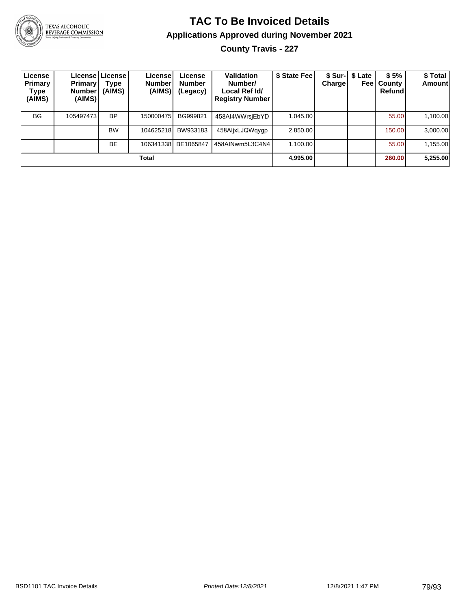

TEXAS ALCOHOLIC<br>BEVERAGE COMMISSION

# **TAC To Be Invoiced Details Applications Approved during November 2021**

**County Travis - 227**

| License<br>Primary<br>Type<br>(AIMS) | <b>Primary!</b><br>Number <sup>'</sup><br>(AIMS) | License   License  <br>Type<br>(AIMS) | License!<br><b>Number</b><br>(AIMS) | License<br><b>Number</b><br>(Legacy) | Validation<br>Number/<br>Local Ref Id/<br><b>Registry Number</b> | \$ State Feel | Chargel | \$ Sur-   \$ Late<br>Feel | \$5%<br>County<br>Refund | \$Total<br><b>Amount</b> |
|--------------------------------------|--------------------------------------------------|---------------------------------------|-------------------------------------|--------------------------------------|------------------------------------------------------------------|---------------|---------|---------------------------|--------------------------|--------------------------|
| <b>BG</b>                            | 105497473                                        | <b>BP</b>                             | 150000475                           | BG999821                             | 458AI4WWrsjEbYD                                                  | 1,045.00      |         |                           | 55.00                    | 1,100.00                 |
|                                      |                                                  | <b>BW</b>                             | 104625218                           | BW933183                             | 458AljxLJQWqygp                                                  | 2.850.00      |         |                           | 150.00                   | 3,000.00                 |
|                                      |                                                  | <b>BE</b>                             | 106341338                           | BE1065847                            | 458AINwm5L3C4N4                                                  | 1,100.00      |         |                           | 55.00                    | 1,155.00                 |
|                                      |                                                  |                                       | Total                               |                                      |                                                                  | 4,995.00      |         |                           | 260.00                   | 5,255.00                 |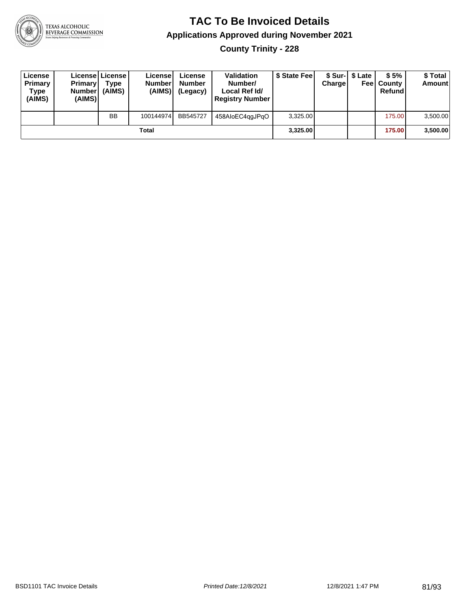

**County Trinity - 228**

| License<br>Primary<br>Type<br>(AIMS) | <b>Primary</b><br><b>Number</b><br>(AIMS) | License   License  <br>Type<br>(AIMS) | License<br><b>Numberl</b><br>(AIMS) | License<br><b>Number</b><br>(Legacy) | <b>Validation</b><br>Number/<br>Local Ref Id/<br><b>Registry Number</b> | \$ State Feel | Charge | \$ Sur-1 \$ Late | \$5%<br><b>Feel County</b><br>Refund | \$ Total<br>Amount |
|--------------------------------------|-------------------------------------------|---------------------------------------|-------------------------------------|--------------------------------------|-------------------------------------------------------------------------|---------------|--------|------------------|--------------------------------------|--------------------|
|                                      |                                           | <b>BB</b>                             | 100144974                           | BB545727                             | 458AloEC4ggJPgO                                                         | 3,325.00      |        |                  | 175.00                               | 3,500.00           |
|                                      |                                           |                                       | Total                               |                                      |                                                                         | 3.325.00      |        |                  | 175.00                               | 3,500.00           |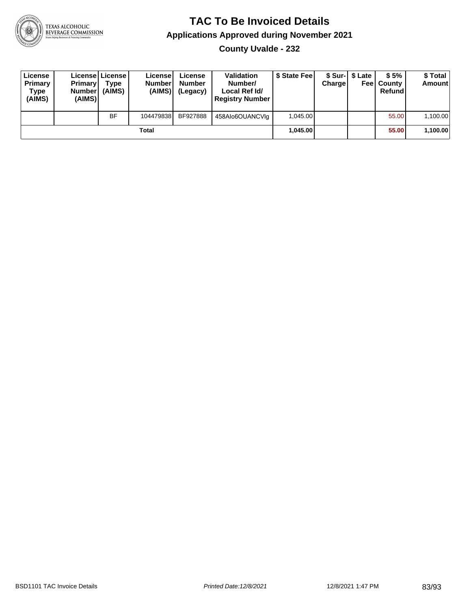

**County Uvalde - 232**

| License<br>Primary<br>Type<br>(AIMS) | <b>Primary</b><br>Number<br>(AIMS) | <b>License   License</b><br>Type<br>(AIMS) | License<br><b>Number</b><br>(AIMS) | License<br><b>Number</b><br>(Legacy) | <b>Validation</b><br>Number/<br>Local Ref Id/<br><b>Registry Number</b> | \$ State Feel | Charge | \$ Sur-1 \$ Late | \$5%<br><b>Feel County</b><br>Refund | \$ Total<br><b>Amount</b> |
|--------------------------------------|------------------------------------|--------------------------------------------|------------------------------------|--------------------------------------|-------------------------------------------------------------------------|---------------|--------|------------------|--------------------------------------|---------------------------|
|                                      |                                    | <b>BF</b>                                  | 104479838                          | BF927888                             | 458Alo6OUANCVIq                                                         | 1.045.00      |        |                  | 55.00                                | 1,100.00                  |
|                                      |                                    |                                            | Total                              |                                      |                                                                         | 1.045.00      |        |                  | 55.00                                | 1,100.00                  |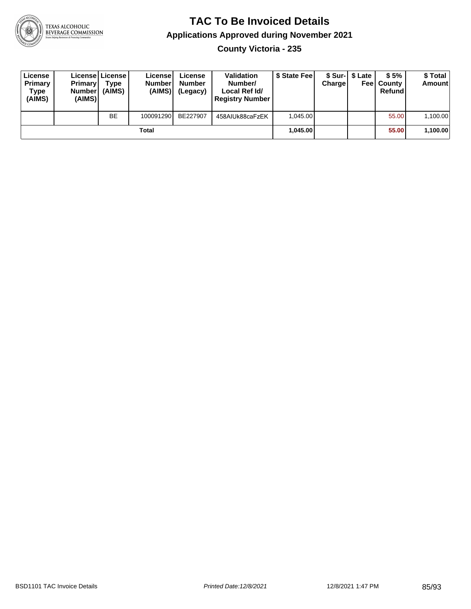

**County Victoria - 235**

| License<br>Primary<br>Type<br>(AIMS) | <b>Primary</b><br>Number<br>(AIMS) | Licensel License I<br>Type<br>(AIMS) | License<br><b>Number</b><br>(AIMS) | License<br><b>Number</b><br>(Legacy) | <b>Validation</b><br>Number/<br>Local Ref Id/<br><b>Registry Number</b> | \$ State Feel | Charge | \$ Sur-1 \$ Late | \$5%<br><b>Feel County</b><br>Refund | \$ Total<br><b>Amount</b> |
|--------------------------------------|------------------------------------|--------------------------------------|------------------------------------|--------------------------------------|-------------------------------------------------------------------------|---------------|--------|------------------|--------------------------------------|---------------------------|
|                                      |                                    | <b>BE</b>                            | 100091290                          | BE227907                             | 458AIUk88caFzEK                                                         | 1.045.00      |        |                  | 55.00                                | 1,100.00                  |
|                                      |                                    |                                      | Total                              |                                      |                                                                         | 1.045.00      |        |                  | 55.00                                | 1,100.00                  |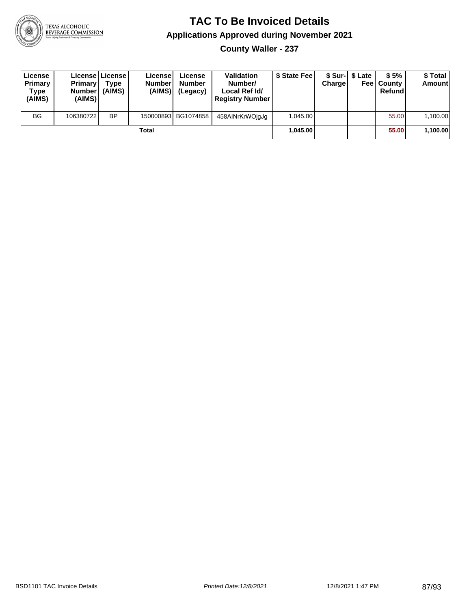

**County Waller - 237**

| License<br>Primary<br>Type<br>(AIMS) | <b>Primary</b><br>Number<br>(AIMS) | License   License  <br>Type<br>(AIMS) | Licensel<br><b>Number</b><br>(AIMS) | License<br><b>Number</b><br>(Legacy) | <b>Validation</b><br>Number/<br>Local Ref Id/<br><b>Registry Number</b> | \$ State Feel | Charge | \$ Sur-1 \$ Late | \$5%<br><b>Feel County</b><br>Refund | \$ Total<br><b>Amount</b> |
|--------------------------------------|------------------------------------|---------------------------------------|-------------------------------------|--------------------------------------|-------------------------------------------------------------------------|---------------|--------|------------------|--------------------------------------|---------------------------|
| <b>BG</b>                            | 106380722                          | <b>BP</b>                             |                                     | 150000893 BG1074858                  | 458AINrKrWOjgJg                                                         | 1.045.00      |        |                  | 55.00                                | 1,100.00                  |
|                                      |                                    |                                       | Total                               |                                      |                                                                         | 1.045.00      |        |                  | 55.00                                | 1,100.00                  |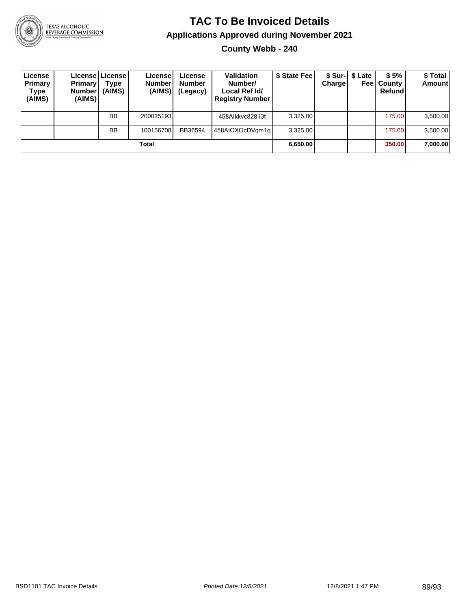

**County Webb - 240**

| License<br>Primary<br>Type<br>(AIMS) | <b>Primary</b><br><b>Number</b><br>(AIMS) | License   License  <br>Type<br>(AIMS) | License <sup>1</sup><br><b>Number</b><br>(AIMS) | License<br><b>Number</b><br>(Legacy) | <b>Validation</b><br>Number/<br>Local Ref Id/<br><b>Registry Number</b> | \$ State Fee | Charge | \$ Sur-1 \$ Late<br>Feel | \$5%<br>County<br>Refund | \$ Total<br><b>Amount</b> |
|--------------------------------------|-------------------------------------------|---------------------------------------|-------------------------------------------------|--------------------------------------|-------------------------------------------------------------------------|--------------|--------|--------------------------|--------------------------|---------------------------|
|                                      |                                           | <b>BB</b>                             | 200035193                                       |                                      | 458Alkkyc82813t                                                         | 3,325.00     |        |                          | 175.00                   | 3,500.00                  |
|                                      |                                           | <b>BB</b>                             | 100156708                                       | BB36594                              | 458AIOXOcDVam1al                                                        | 3.325.00     |        |                          | 175.00                   | 3,500.00                  |
|                                      |                                           |                                       | Total                                           |                                      |                                                                         | 6,650.00     |        |                          | 350.00                   | 7,000.00                  |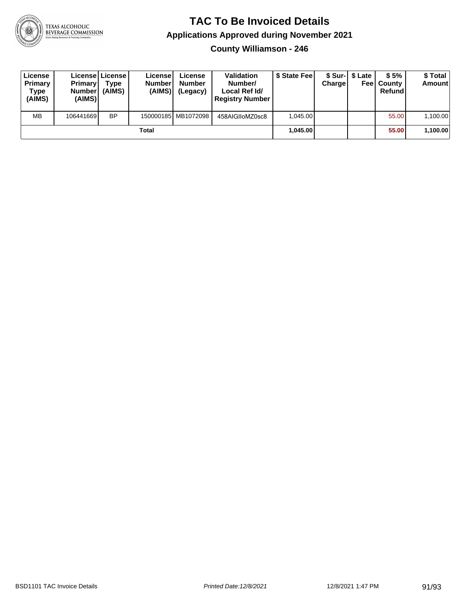

**County Williamson - 246**

| License<br>Primary<br>Type<br>(AIMS) | <b>Primary</b><br>Number<br>(AIMS) | Licensel License!<br>Type<br>(AIMS) | License<br><b>Number</b><br>(AIMS) | License<br><b>Number</b><br>(Legacy) | <b>Validation</b><br>Number/<br>Local Ref Id/<br><b>Registry Number</b> | \$ State Fee | Charge | \$ Sur-1 \$ Late | \$5%<br><b>Feel County</b><br>Refund | \$ Total<br><b>Amount</b> |
|--------------------------------------|------------------------------------|-------------------------------------|------------------------------------|--------------------------------------|-------------------------------------------------------------------------|--------------|--------|------------------|--------------------------------------|---------------------------|
| <b>MB</b>                            | 106441669                          | <b>BP</b>                           |                                    | 150000185 MB1072098                  | 458AIGIIoMZ0sc8                                                         | 1.045.00     |        |                  | 55.00                                | 1,100.00                  |
|                                      |                                    |                                     | Total                              |                                      |                                                                         | 1.045.00     |        |                  | 55.00                                | 1,100.00                  |